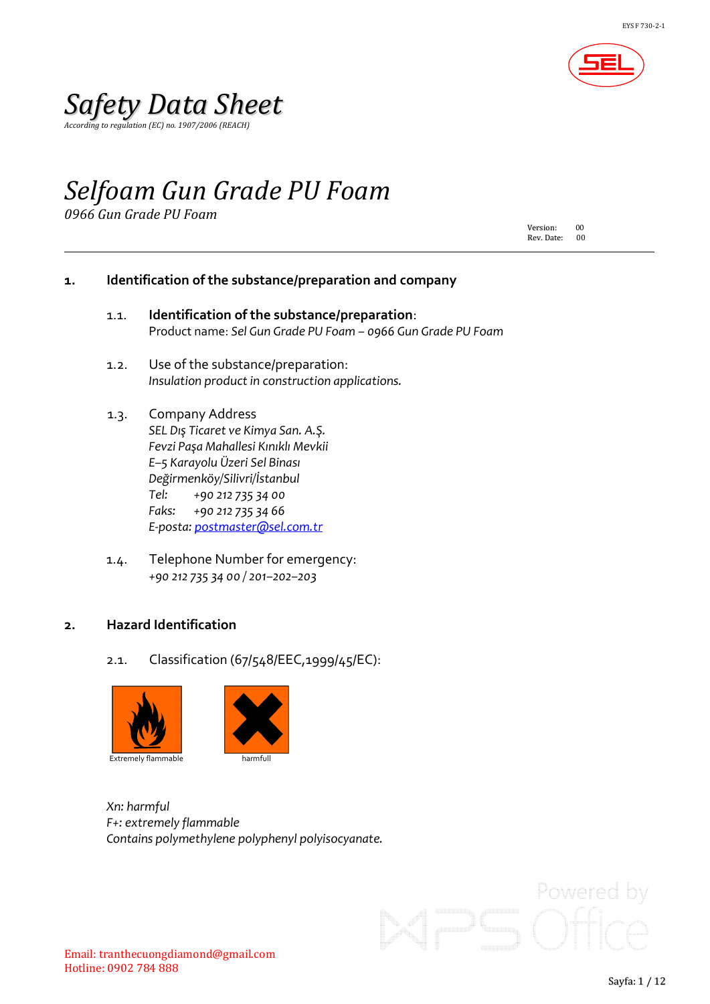

*According to regulation (EC) no. 1907/2006 (REACH)*

## *Selfoam Gun Grade PU Foam*

*0966 Gun Grade PU Foam*

Version: 00<br>Rev. Date: 00 Rev. Date:

#### **1. Identification of the substance/preparation and company**

- 1.1. **Identification of the substance/preparation**: Product name: *Sel Gun Grade PU Foam – 0966 Gun Grade PU Foam*
- 1.2. Use of the substance/preparation: *Insulation product in construction applications.*
- 1.3. Company Address *SEL Dış Ticaret ve Kimya San. A.Ş. Fevzi Paşa Mahallesi Kınıklı Mevkii E–5 Karayolu Üzeri Sel Binası Değirmenköy/Silivri/İstanbul Tel: +90 212 735 34 00 Faks: +90 212 735 34 66 E-posta: [postmaster@sel.com.tr](mailto:postmaster@sel.com.tr)*
- 1.4. Telephone Number for emergency: *+90 212 735 34 00 / 201–202–203*

#### **2. Hazard Identification**

2.1. Classification (67/548/EEC,1999/45/EC):



*Xn: harmful F+: extremely flammable Contains polymethylene polyphenyl polyisocyanate.*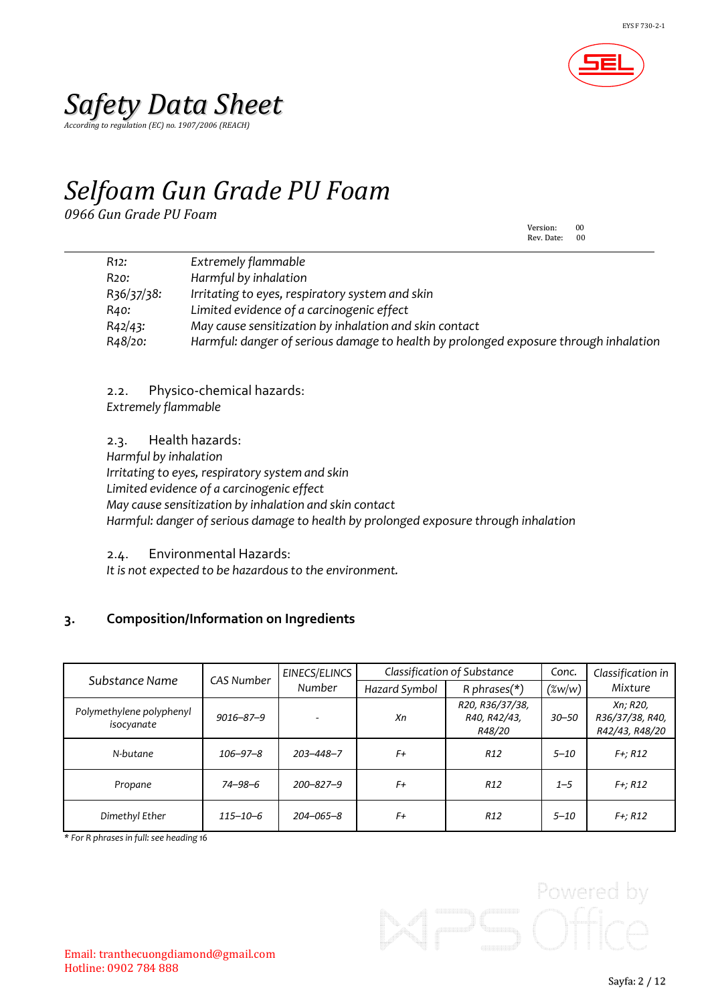

*According to regulation (EC) no. 1907/2006 (REACH)*

# *Selfoam Gun Grade PU Foam*

*0966 Gun Grade PU Foam*

Version: 00<br>Rev. Date: 00 Rev. Date:

| R <sub>12</sub> : | Extremely flammable                                                                  |
|-------------------|--------------------------------------------------------------------------------------|
| R20:              | Harmful by inhalation                                                                |
| R36/37/38:        | Irritating to eyes, respiratory system and skin                                      |
| R40:              | Limited evidence of a carcinogenic effect                                            |
| R42/43:           | May cause sensitization by inhalation and skin contact                               |
| R48/20:           | Harmful: danger of serious damage to health by prolonged exposure through inhalation |

2.2. Physico-chemical hazards: *Extremely flammable*

2.3. Health hazards: *Harmful by inhalation Irritating to eyes, respiratory system and skin Limited evidence of a carcinogenic effect May cause sensitization by inhalation and skin contact Harmful: danger of serious damage to health by prolonged exposure through inhalation*

2.4. Environmental Hazards:

*It* is not expected to be hazardous to the environment.

### **3. Composition/Information on Ingredients**

| Substance Name                         | CAS Number      | EINECS/ELINCS   | Classification of Substance |                                           | Conc.     | Classification in                             |
|----------------------------------------|-----------------|-----------------|-----------------------------|-------------------------------------------|-----------|-----------------------------------------------|
|                                        |                 | Number          | Hazard Symbol               | R phrases $(*)$                           | $(\%w/w)$ | Mixture                                       |
| Polymethylene polyphenyl<br>isocyanate | $9016 - 87 - 9$ |                 | Хn                          | R20, R36/37/38,<br>R40, R42/43,<br>R48/20 | $30 - 50$ | Xn; R20,<br>R36/37/38, R40,<br>R42/43, R48/20 |
| N-butane                               | $106 - 97 - 8$  | $203 - 448 - 7$ | F+                          | R <sub>12</sub>                           | $5 - 10$  | $F +; R12$                                    |
| Propane                                | $74 - 98 - 6$   | $200 - 827 - 9$ | F+                          | R <sub>12</sub>                           | $1 - 5$   | $F +; R12$                                    |
| Dimethyl Ether                         | $115 - 10 - 6$  | 204-065-8       | F+                          | R <sub>12</sub>                           | $5 - 10$  | $F +; R12$                                    |

*\* For R phrases in full:see heading 16*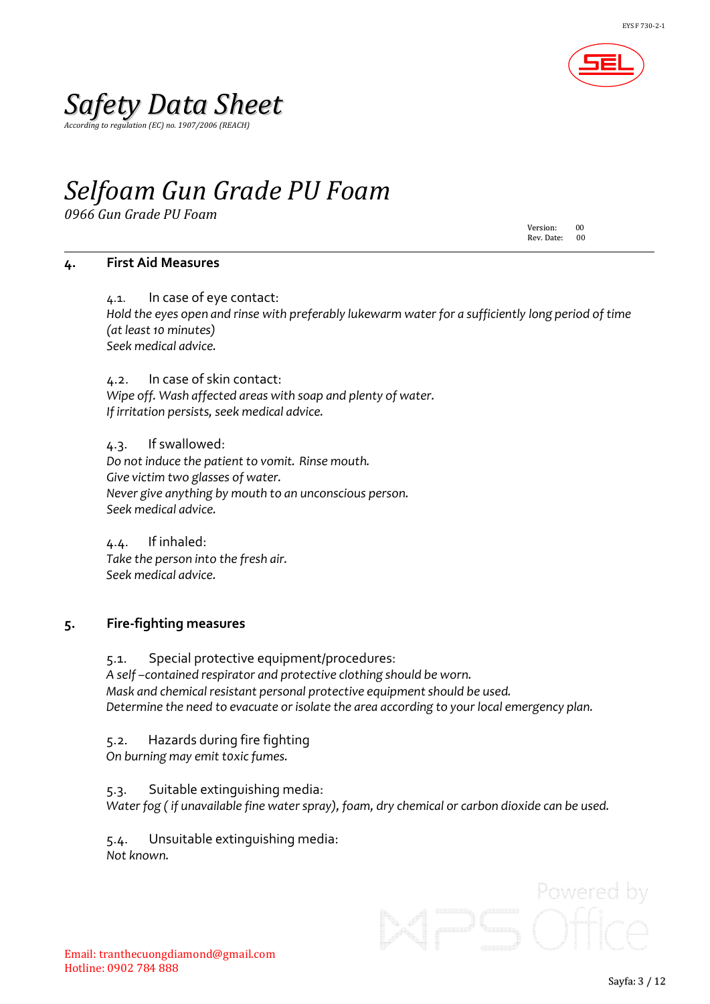

*According to regulation (EC) no. 1907/2006 (REACH)*

## *Selfoam Gun Grade PU Foam*

*0966 Gun Grade PU Foam*

Version: 00<br>Rev. Date: 00 Rev. Date:

#### **4. First Aid Measures**

4.1. In case of eye contact: *Hold the eyes open and rinse with preferably lukewarm water for a sufficiently long period of time (at least 10 minutes) Seek medical advice.*

4.2. In case of skin contact: *Wipe off. Wash affected areas with soap and plenty of water. If irritation persists, seek medical advice.*

4.3. If swallowed: *Do not induce the patient to vomit. Rinse mouth. Give victim two glasses of water. Never give anything by mouth to an unconscious person. Seek medical advice.*

4.4. If inhaled: *Take the person into the fresh air. Seek medical advice.*

#### **5. Fire-fighting measures**

5.1. Special protective equipment/procedures: *A self –contained respirator and protective clothing should be worn. Mask and chemical resistant personal protective equipmentshould be used. Determine the need to evacuate or isolate the area according to your local emergency plan.*

5.2. Hazards during fire fighting

*On burning may emit t0xic fumes.*

5.3. Suitable extinguishing media: *Water fog ( if unavailable fine waterspray), foam, dry chemical or carbon dioxide can be used.*

5.4. Unsuitable extinguishing media: *Not known.*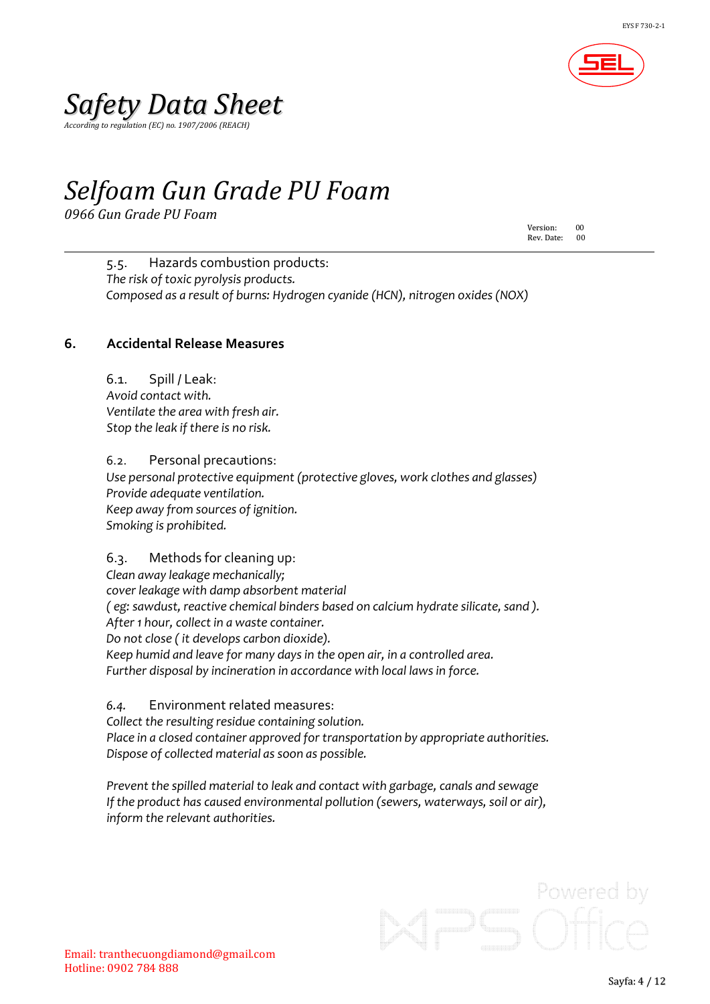

*According to regulation (EC) no. 1907/2006 (REACH)*

### *Selfoam Gun Grade PU Foam*

*0966 Gun Grade PU Foam*

Version: 00 Rev. Date:

5.5. Hazards combustion products: *The risk of toxic pyrolysis products. Composed as a result of burns: Hydrogen cyanide (HCN), nitrogen oxides(NOX)*

### **6. Accidental Release Measures**

6.1. Spill / Leak: *Avoid contact with. Ventilate the area with fresh air. Stop the leak if there is no risk.*

6.2. Personal precautions: *Use personal protective equipment (protective gloves, work clothes and glasses) Provide adequate ventilation. Keep away from sources of ignition. Smoking is prohibited.*

6.3. Methods for cleaning up: *Clean away leakage mechanically; cover leakage with damp absorbent material ( eg: sawdust, reactive chemical binders based on calcium hydrate silicate, sand ). After 1 hour, collect in a waste container. Do not close ( it develops carbon dioxide). Keep humid and leave for many days in the open air, in a controlled area. Further disposal by incineration in accordance with local lawsin force.*

*6.4.* Environment related measures: *Collect the resulting residue containing solution. Place in a closed container approved for transportation by appropriate authorities. Dispose of collected material as soon as possible.*

*Prevent the spilled material to leak and contact with garbage, canals and sewage If the product has caused environmental pollution (sewers, waterways, soil or air), inform the relevant authorities.*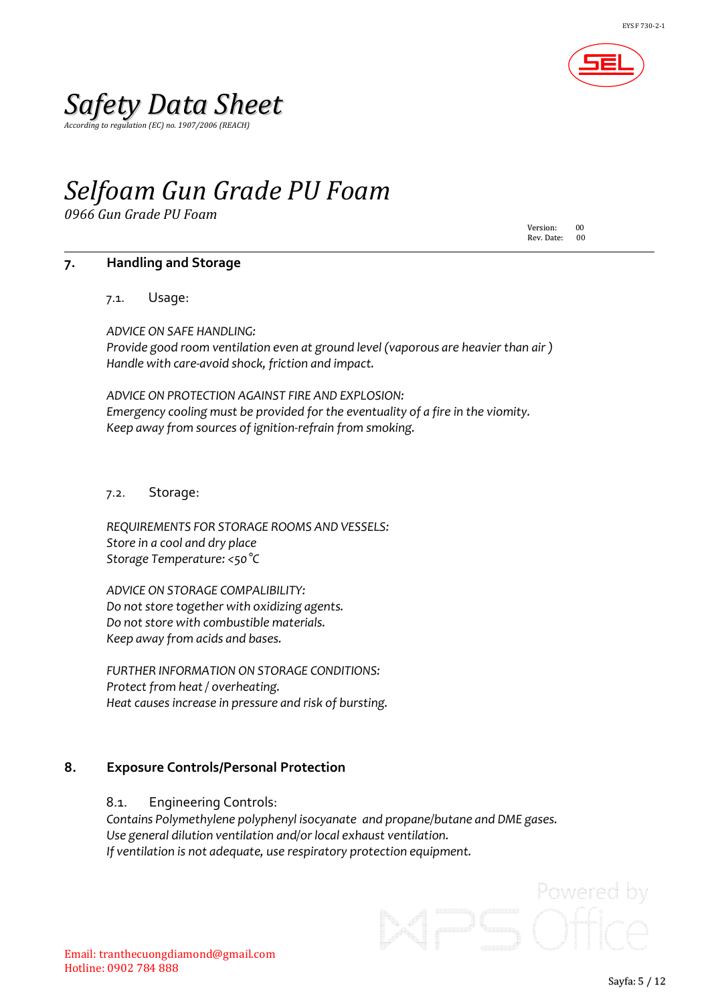

*According to regulation (EC) no. 1907/2006 (REACH)*

### *Selfoam Gun Grade PU Foam*

*0966 Gun Grade PU Foam*

Version: 00<br>Rev. Date: 00 Rev. Date:

#### **7. Handling and Storage**

7.1. Usage:

*ADVICE ON SAFE HANDLING: Provide good room ventilation even at ground level (vaporous are heavier than air ) Handle with care-avoid shock, friction and impact.*

*ADVICE ON PROTECTION AGAINST FIRE AND EXPLOSION: Emergency cooling must be provided for the eventuality of a fire in the viomity. Keep away from sources of ignition-refrain from smoking.*

7.2. Storage:

*REQUIREMENTS FOR STORAGE ROOMS AND VESSELS: Store in a cool and dry place Storage Temperature: <50°C*

*ADVICE ON STORAGE COMPALIBILITY: Do* not store *together* with *oxidizing agents. Do notstore with combustible materials. Keep away from acids and bases.*

*FURTHER INFORMATION ON STORAGE CONDITIONS: Protect from heat / overheating. Heat causes increase in pressure and risk of bursting.*

#### **8. Exposure Controls/Personal Protection**

8.1. Engineering Controls:

*Contains Polymethylene polyphenyl isocyanate and propane/butane and DME gases. Use general dilution ventilation and/or local exhaust ventilation. If ventilation is not adequate, use respiratory protection equipment.*

Powered by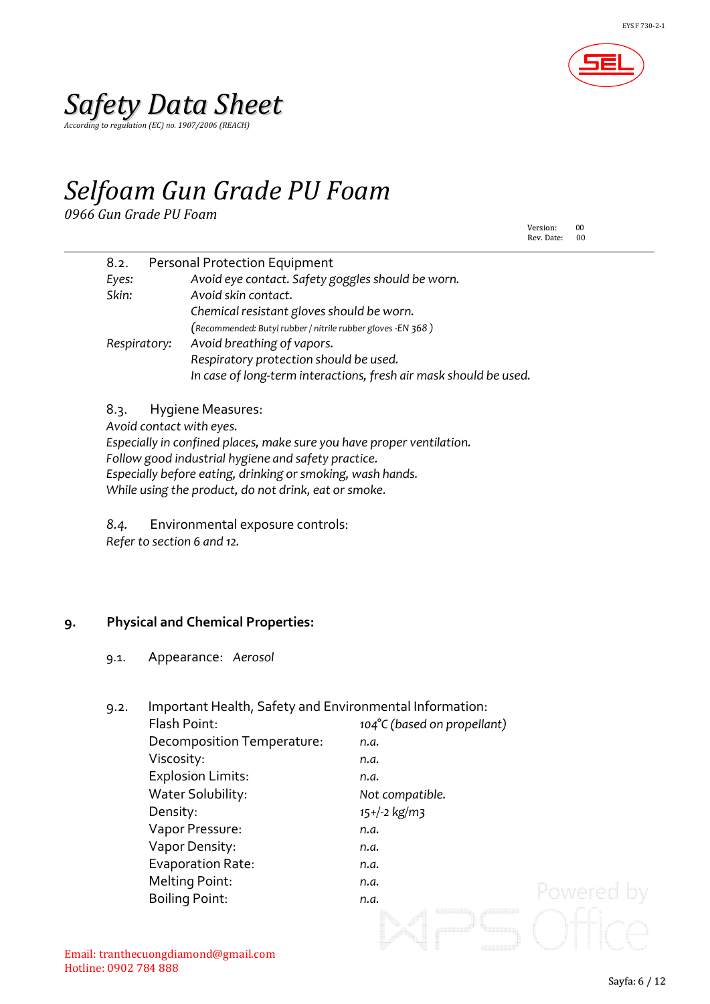

*According to regulation (EC) no. 1907/2006 (REACH)*

## *Selfoam Gun Grade PU Foam*

*0966 Gun Grade PU Foam*

Version: 00<br>Rev. Date: 00 Rev. Date:

| 8.2.         | <b>Personal Protection Equipment</b>                              |
|--------------|-------------------------------------------------------------------|
| Eyes:        | Avoid eye contact. Safety goggles should be worn.                 |
| Skin:        | Avoid skin contact.                                               |
|              | Chemical resistant gloves should be worn.                         |
|              | (Recommended: Butyl rubber / nitrile rubber gloves -EN 368)       |
| Respiratory: | Avoid breathing of vapors.                                        |
|              | Respiratory protection should be used.                            |
|              | In case of long-term interactions, fresh air mask should be used. |
|              |                                                                   |

8.3. Hygiene Measures:

*Avoid contact with eyes.*

*Especially in confined places, make sure you have proper ventilation.*

*Follow good industrial hygiene and safety practice.*

*Especially before eating, drinking or smoking, wash hands.*

*While using the product, do not drink, eat or smoke.*

*8.4.* Environmental exposure controls: *Refer to section 6 and 12.*

### **9. Physical and Chemical Properties:**

9.1. Appearance: *Aerosol*

| 9.2. | Important Health, Safety and Environmental Information: |                             |            |
|------|---------------------------------------------------------|-----------------------------|------------|
|      | Flash Point:                                            | 104°C (based on propellant) |            |
|      | Decomposition Temperature:                              | n.a.                        |            |
|      | Viscosity:                                              | n.a.                        |            |
|      | <b>Explosion Limits:</b>                                | n.a.                        |            |
|      | Water Solubility:                                       | Not compatible.             |            |
|      | Density:                                                | $15+/-2$ kg/m3              |            |
|      | Vapor Pressure:                                         | n.a.                        |            |
|      | Vapor Density:                                          | n.a.                        |            |
|      | Evaporation Rate:                                       | n.a.                        |            |
|      | Melting Point:                                          | n.a.                        |            |
|      | <b>Boiling Point:</b>                                   | n.a.                        | Powered by |
|      |                                                         |                             |            |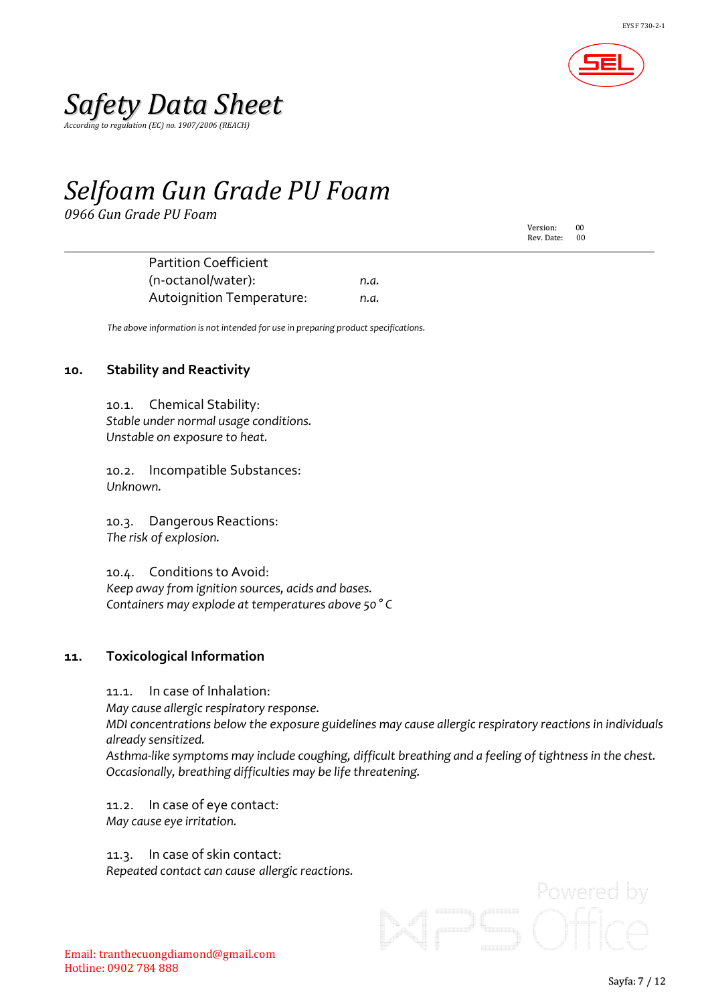

*According to regulation (EC) no. 1907/2006 (REACH)*

### *Selfoam Gun Grade PU Foam*

*0966 Gun Grade PU Foam*

Version: 00<br>Rev. Date: 00 Rev. Date:

Partition Coefficient (n-octanol/water): *n.a.* Autoignition Temperature: *n.a.*

*The above information is not intended for use in preparing product specifications.*

#### **10. Stability and Reactivity**

10.1. Chemical Stability: *Stable under normal usage conditions. Unstable on exposure to heat.*

10.2. Incompatible Substances: *Unknown.*

10.3. Dangerous Reactions: *The risk of explosion.*

10.4. Conditions to Avoid: *Keep away from ignition sources, acids and bases. Containers may explode at temperatures above 50 ° C*

#### **11. Toxicological Information**

11.1. In case of Inhalation:

*May cause allergic respiratory response.*

*MDI concentrations below the exposure guidelines may cause allergic respiratory reactions in individuals already sensitized.*

*Asthma-like symptoms may include coughing, difficult breathing and a feeling of tightnessin the chest. Occasionally, breathing difficulties may be life threatening.*

11.2. In case of eye contact: *May cause eye irritation.*

11.3. In case of skin contact: *Repeated contact can cause allergic reactions.*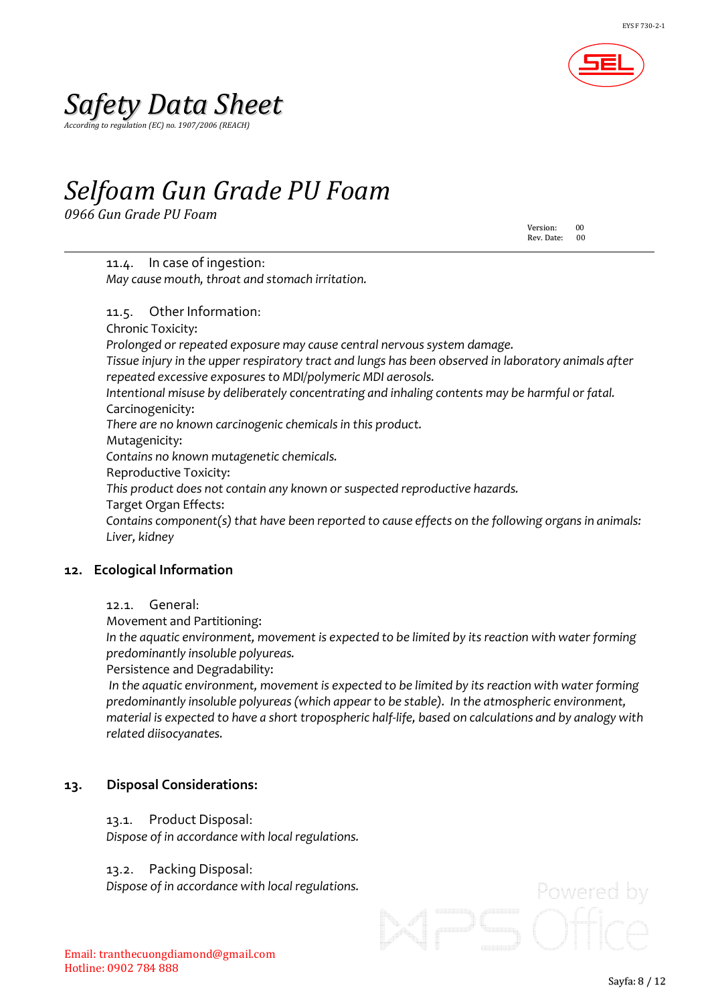

*According to regulation (EC) no. 1907/2006 (REACH)*

## *Selfoam Gun Grade PU Foam*

*0966 Gun Grade PU Foam*

Version: Version:00 Rev. Date:

11.4. In case of ingestion: *May cause mouth, throat and stomach irritation.*

11.5. Other Information: Chronic Toxicity: *Prolonged or repeated exposure may cause central nervoussystem damage. Tissue injury in the upper respiratory tract and lungs has been observed in laboratory animals after repeated excessive exposuresto MDI/polymeric MDI aerosols. Intentional misuse by deliberately concentrating and inhaling contents may be harmful or fatal.* Carcinogenicity: *There are no known carcinogenic chemicalsin this product.* Mutagenicity: *Contains no known mutagenetic chemicals.* Reproductive Toxicity: *This product does not contain any known or suspected reproductive hazards.* Target Organ Effects: *Contains component(s) that have been reported to cause effects on the following organs in animals: Liver, kidney*

### **12. Ecological Information**

12.1. General:

Movement and Partitioning:

*In the aquatic environment, movement is expected to be limited by its reaction with water forming predominantly insoluble polyureas.*

Persistence and Degradability:

*In the aquatic environment, movement is expected to be limited by its reaction with water forming predominantly insoluble polyureas(which appearto be stable). In the atmospheric environment, material is expected to have a short tropospheric half-life, based on calculations and by analogy with related diisocyanates.*

### **13. Disposal Considerations:**

#### 13.1. Product Disposal:

*Dispose of in accordance with local regulations.*

#### 13.2. Packing Disposal:

*Dispose of in accordance with local regulations.*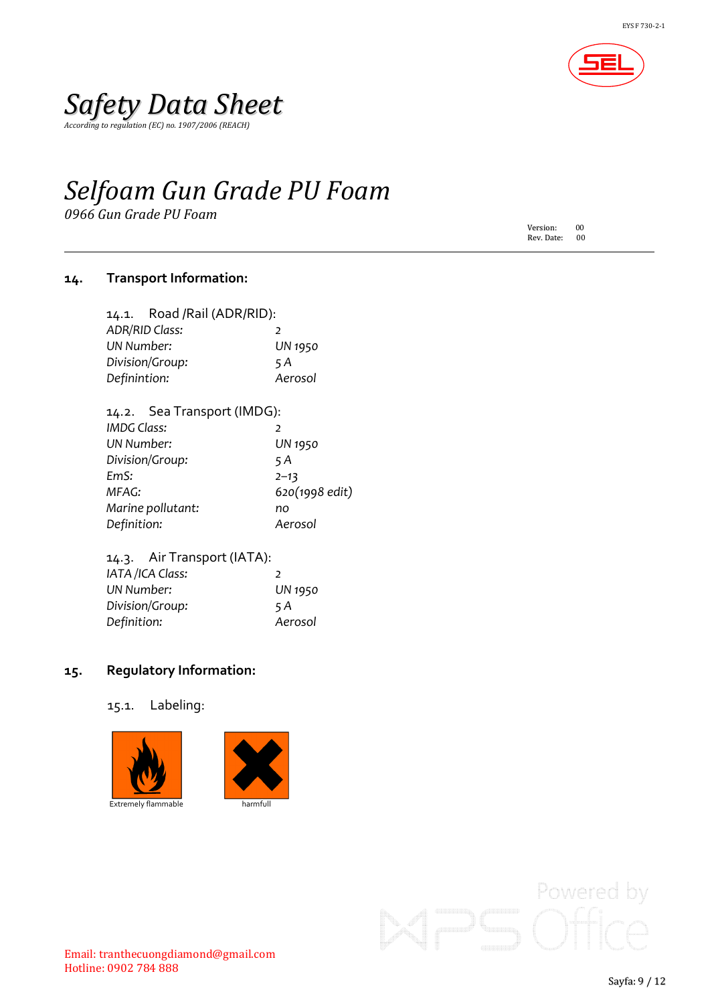

*According to regulation (EC) no. 1907/2006 (REACH)*

# *Selfoam Gun Grade PU Foam*

*0966 Gun Grade PU Foam*

Version: 00<br>Rev. Date: 00 Rev. Date:

### **14. Transport Information:**

|                        | 14.1. Road /Rail (ADR/RID): |                          |
|------------------------|-----------------------------|--------------------------|
|                        | <b>ADR/RID Class:</b>       | $\overline{\phantom{a}}$ |
| <b>UN Number:</b>      |                             | <b>UN 1950</b>           |
| Division/Group:<br>5 A |                             |                          |
| Definintion:           |                             | Aerosol                  |
|                        |                             |                          |

#### 14.2. Sea Transport (IMDG):

| <b>IMDG Class:</b> | $\mathcal{P}$  |
|--------------------|----------------|
| <b>UN Number:</b>  | <b>UN 1950</b> |
| Division/Group:    | 5 A            |
| EmS:               | $2 - 13$       |
| MFAG:              | 620(1998 edit) |
| Marine pollutant:  | no             |
| Definition:        | Aerosol        |

| 14.3. Air Transport (IATA): |                |
|-----------------------------|----------------|
| IATA /ICA Class:            | $\mathcal{I}$  |
| UN Number:                  | <b>UN 1950</b> |
| Division/Group:             | 5 A            |
| Definition:                 | Aerosol        |

#### **15. Regulatory Information:**

15.1. Labeling:



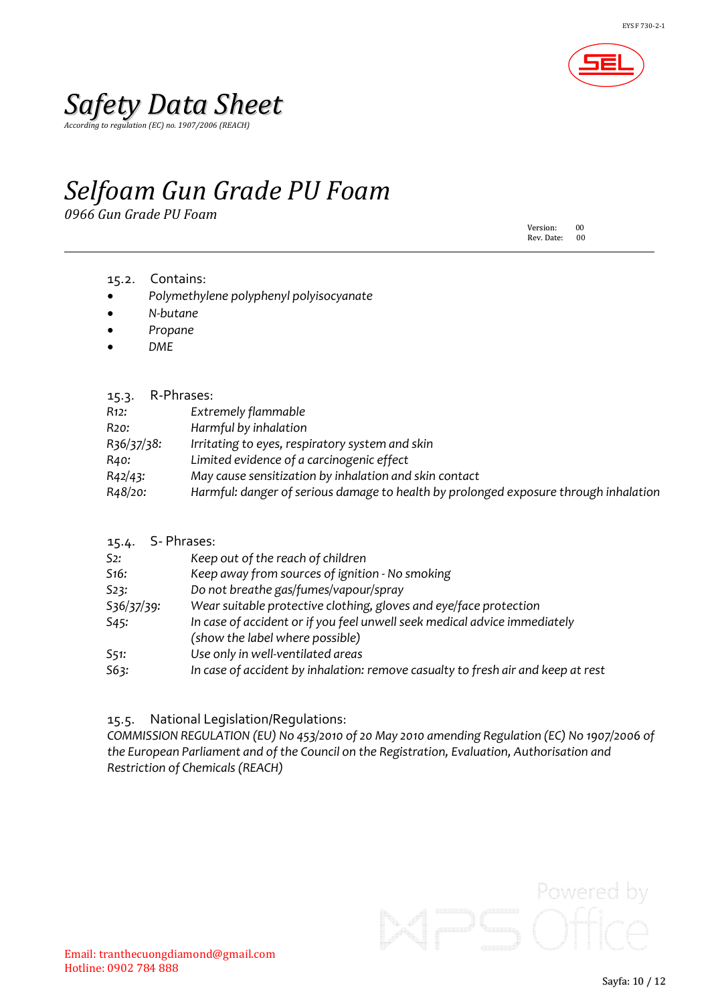

*According to regulation (EC) no. 1907/2006 (REACH)*

### *Selfoam Gun Grade PU Foam*

*0966 Gun Grade PU Foam*

Version: 00<br>Rev. Date: 00 Rev. Date:

- 15.2. Contains:
- *Polymethylene polyphenyl polyisocyanate*
- *N-butane*
- *Propane*
- *DME*

#### 15.3. R-Phrases:

| R12:       | Extremely flammable                                                                  |
|------------|--------------------------------------------------------------------------------------|
| R20:       | Harmful by inhalation                                                                |
| R36/37/38: | Irritating to eyes, respiratory system and skin                                      |
| R40:       | Limited evidence of a carcinogenic effect                                            |
| R42/43:    | May cause sensitization by inhalation and skin contact                               |
| R48/20:    | Harmful: danger of serious damage to health by prolonged exposure through inhalation |
|            |                                                                                      |

### 15.4. S- Phrases:

| S2:               | Keep out of the reach of children                                                |
|-------------------|----------------------------------------------------------------------------------|
| S <sub>16</sub> : | Keep away from sources of ignition - No smoking                                  |
| 523:              | Do not breathe gas/fumes/vapour/spray                                            |
| S36/37/39:        | Wear suitable protective clothing, gloves and eye/face protection                |
| S45:              | In case of accident or if you feel unwell seek medical advice immediately        |
|                   | (show the label where possible)                                                  |
| 551:              | Use only in well-ventilated areas                                                |
| 563:              | In case of accident by inhalation: remove casualty to fresh air and keep at rest |
|                   |                                                                                  |

#### 15.5. National Legislation/Regulations:

*COMMISSION REGULATION (EU) No 453/2010 of 20 May 2010 amending Regulation (EC) No 1907/2006 of the European Parliament and of the Council on the Registration, Evaluation, Authorisation and Restriction of Chemicals (REACH)*

Powered by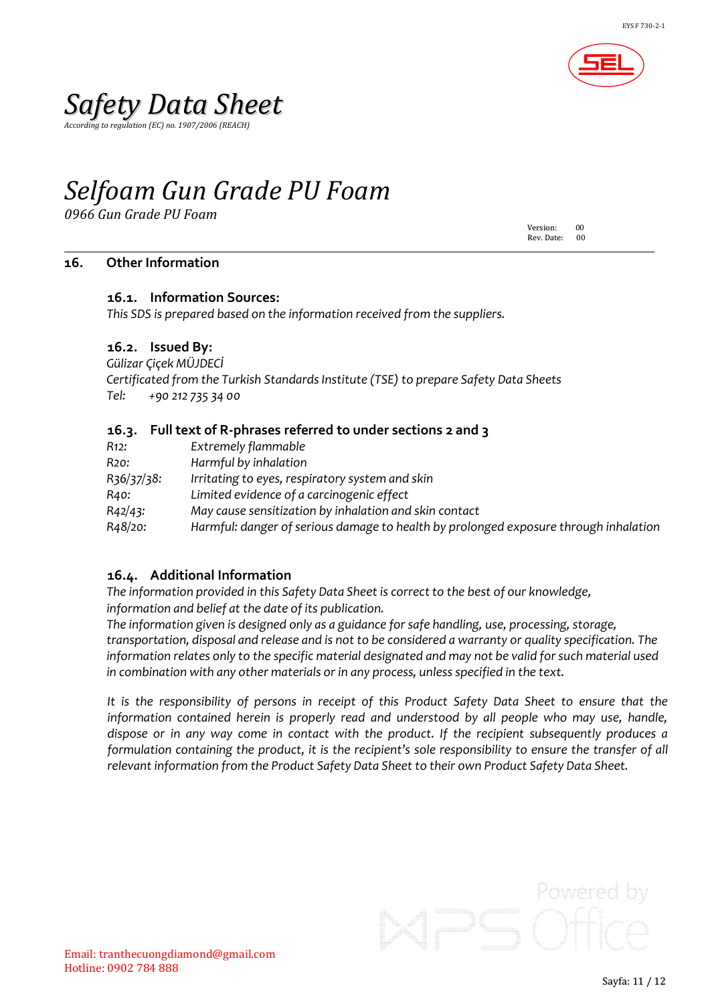

*According to regulation (EC) no. 1907/2006 (REACH)*

## *Selfoam Gun Grade PU Foam*

*0966 Gun Grade PU Foam*

Version: 00 Rev. Date:

#### **16. Other Information**

#### **16.1. Information Sources:**

*This SDS is prepared based on the information received from the suppliers.*

#### **16.2. Issued By:**

*Gülizar Çiçek MÜJDECİ Certificated from the Turkish StandardsInstitute (TSE) to prepare Safety Data Sheets Tel: +90 212 735 34 00*

#### **16.3. Full text of R-phrases referred to under sections 2 and 3**

| R12:       | Extremely flammable                                                                  |
|------------|--------------------------------------------------------------------------------------|
| R20:       | Harmful by inhalation                                                                |
| R36/37/38: | Irritating to eyes, respiratory system and skin                                      |
| R40:       | Limited evidence of a carcinogenic effect                                            |
| R42/43:    | May cause sensitization by inhalation and skin contact                               |
| R48/20:    | Harmful: danger of serious damage to health by prolonged exposure through inhalation |

#### **16.4. Additional Information**

*The information provided in this Safety Data Sheet is correctto the best of our knowledge, information and belief at the date of its publication.*

*The information given is designed only as a guidance for safe handling, use, processing, storage, transportation, disposal and release and is not to be considered a warranty or quality specification. The information relates only to the specific material designated and may not be valid forsuch material used in combination with any other materials or in any process, unless specified in the text.*

It is the responsibility of persons in receipt of this Product Safety Data Sheet to ensure that the *information contained herein is properly read and understood by all people who may use, handle, dispose or in any way come in contact with the product. If the recipient subsequently produces a formulation containing the product, it is the recipient's sole responsibility to ensure the transfer of all relevant information from the Product Safety Data Sheet to their own Product Safety Data Sheet.*